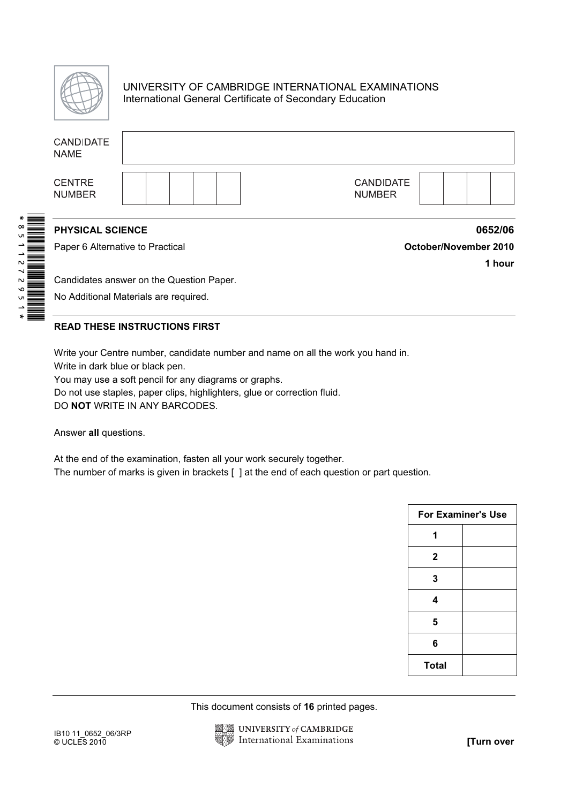

## UNIVERSITY OF CAMBRIDGE INTERNATIONAL EXAMINATIONS International General Certificate of Secondary Education

|  | <b>CANDIDATE</b><br><b>NAME</b>                                                            |                       |  |  |  |  |                                                              |                       |                                             |                                   |                 |                           |
|--|--------------------------------------------------------------------------------------------|-----------------------|--|--|--|--|--------------------------------------------------------------|-----------------------|---------------------------------------------|-----------------------------------|-----------------|---------------------------|
|  | <b>CENTRE</b><br><b>NUMBER</b>                                                             |                       |  |  |  |  |                                                              |                       |                                             | <b>CANDIDATE</b><br><b>NUMBER</b> |                 |                           |
|  | PHYSICAL SCIENCE                                                                           |                       |  |  |  |  |                                                              |                       |                                             |                                   |                 | 0652/06                   |
|  | Paper 6 Alternative to Practical                                                           |                       |  |  |  |  |                                                              | October/November 2010 |                                             |                                   |                 |                           |
|  | Candidates answer on the Question Paper.                                                   |                       |  |  |  |  |                                                              |                       |                                             |                                   |                 | 1 hour                    |
|  | No Additional Materials are required.                                                      |                       |  |  |  |  |                                                              |                       |                                             |                                   |                 |                           |
|  |                                                                                            |                       |  |  |  |  |                                                              |                       |                                             |                                   |                 |                           |
|  | <b>READ THESE INSTRUCTIONS FIRST</b>                                                       |                       |  |  |  |  |                                                              |                       |                                             |                                   |                 |                           |
|  | Write your Centre number, candidate number and name on all the work you hand in.           |                       |  |  |  |  |                                                              |                       |                                             |                                   |                 |                           |
|  | Write in dark blue or black pen.<br>You may use a soft pencil for any diagrams or graphs.  |                       |  |  |  |  |                                                              |                       |                                             |                                   |                 |                           |
|  | Do not use staples, paper clips, highlighters, glue or correction fluid.                   |                       |  |  |  |  |                                                              |                       |                                             |                                   |                 |                           |
|  | DO NOT WRITE IN ANY BARCODES.                                                              |                       |  |  |  |  |                                                              |                       |                                             |                                   |                 |                           |
|  |                                                                                            | Answer all questions. |  |  |  |  |                                                              |                       |                                             |                                   |                 |                           |
|  | At the end of the examination, fasten all your work securely together.                     |                       |  |  |  |  |                                                              |                       |                                             |                                   |                 |                           |
|  | The number of marks is given in brackets [ ] at the end of each question or part question. |                       |  |  |  |  |                                                              |                       |                                             |                                   |                 |                           |
|  |                                                                                            |                       |  |  |  |  |                                                              |                       |                                             |                                   |                 | <b>For Examiner's Use</b> |
|  |                                                                                            |                       |  |  |  |  |                                                              |                       |                                             |                                   | 1               |                           |
|  |                                                                                            |                       |  |  |  |  |                                                              |                       |                                             |                                   | 2               |                           |
|  |                                                                                            |                       |  |  |  |  |                                                              |                       |                                             |                                   | 3               |                           |
|  |                                                                                            |                       |  |  |  |  |                                                              |                       |                                             |                                   | 4               |                           |
|  |                                                                                            |                       |  |  |  |  |                                                              |                       |                                             |                                   | 5               |                           |
|  |                                                                                            |                       |  |  |  |  |                                                              |                       |                                             |                                   | $6\phantom{1}6$ |                           |
|  |                                                                                            |                       |  |  |  |  |                                                              |                       |                                             |                                   | <b>Total</b>    |                           |
|  |                                                                                            |                       |  |  |  |  |                                                              |                       |                                             |                                   |                 |                           |
|  |                                                                                            |                       |  |  |  |  |                                                              |                       | This document consists of 16 printed pages. |                                   |                 |                           |
|  | IB10 11_0652_06/3RP<br>© UCLES 2010                                                        |                       |  |  |  |  | <b>UNIVERSITY of CAMBRIDGE</b><br>International Examinations |                       |                                             |                                   |                 | [Turn over                |

#### READ THESE INSTRUCTIONS FIRST

| <b>For Examiner's Use</b> |  |  |
|---------------------------|--|--|
|                           |  |  |
| 2                         |  |  |
| 3                         |  |  |
| 4                         |  |  |
| 5                         |  |  |
| 6                         |  |  |
| <b>Total</b>              |  |  |

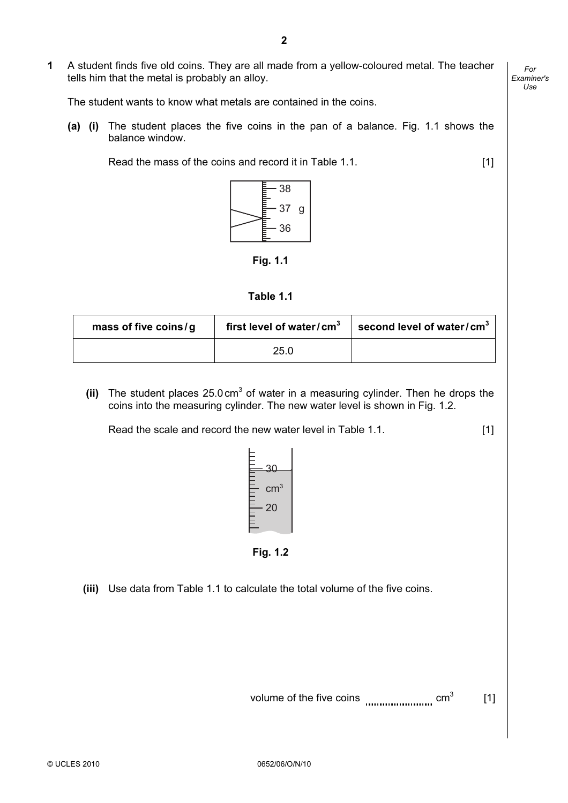1 A student finds five old coins. They are all made from a yellow-coloured metal. The teacher tells him that the metal is probably an alloy.

The student wants to know what metals are contained in the coins.

(a) (i) The student places the five coins in the pan of a balance. Fig. 1.1 shows the balance window.

Read the mass of the coins and record it in Table 1.1. [1]



Fig. 1.1

| mass of five coins/g | first level of water/cm $3$ | second level of water/cm $^3$ |  |
|----------------------|-----------------------------|-------------------------------|--|
|                      | 25.0                        |                               |  |

(ii) The student places  $25.0 \text{ cm}^3$  of water in a measuring cylinder. Then he drops the coins into the measuring cylinder. The new water level is shown in Fig. 1.2.

Read the scale and record the new water level in Table 1.1. [1]



(iii) Use data from Table 1.1 to calculate the total volume of the five coins.

volume of the five coins  $\ldots$  cm<sup>3</sup> [1]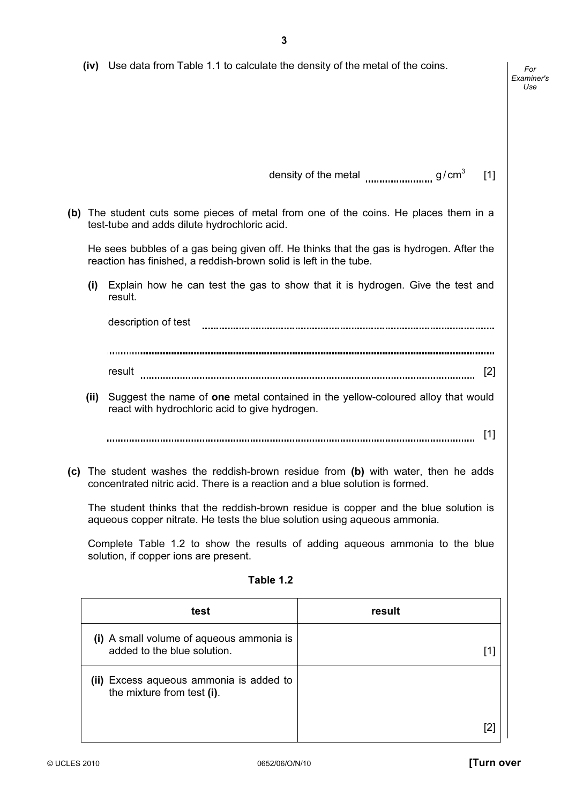|  | (iv) Use data from Table 1.1 to calculate the density of the metal of the coins. |
|--|----------------------------------------------------------------------------------|
|--|----------------------------------------------------------------------------------|

density of the metal  $\frac{1}{2}$  g/ cm<sup>3</sup> [1]

 (b) The student cuts some pieces of metal from one of the coins. He places them in a test-tube and adds dilute hydrochloric acid.

 He sees bubbles of a gas being given off. He thinks that the gas is hydrogen. After the reaction has finished, a reddish-brown solid is left in the tube.

 (i) Explain how he can test the gas to show that it is hydrogen. Give the test and result.

description of test 

result www.marror.com/marror.com/marror.com/marror.com/marror.com/marror.com/marror.com/marror.com/

(ii) Suggest the name of one metal contained in the yellow-coloured alloy that would react with hydrochloric acid to give hydrogen.

[1]

 (c) The student washes the reddish-brown residue from (b) with water, then he adds concentrated nitric acid. There is a reaction and a blue solution is formed.

 The student thinks that the reddish-brown residue is copper and the blue solution is aqueous copper nitrate. He tests the blue solution using aqueous ammonia.

 Complete Table 1.2 to show the results of adding aqueous ammonia to the blue solution, if copper ions are present.

### Table 1.2

| test                                                                    | result |
|-------------------------------------------------------------------------|--------|
| (i) A small volume of aqueous ammonia is<br>added to the blue solution. |        |
| (ii) Excess aqueous ammonia is added to<br>the mixture from test (i).   |        |
|                                                                         |        |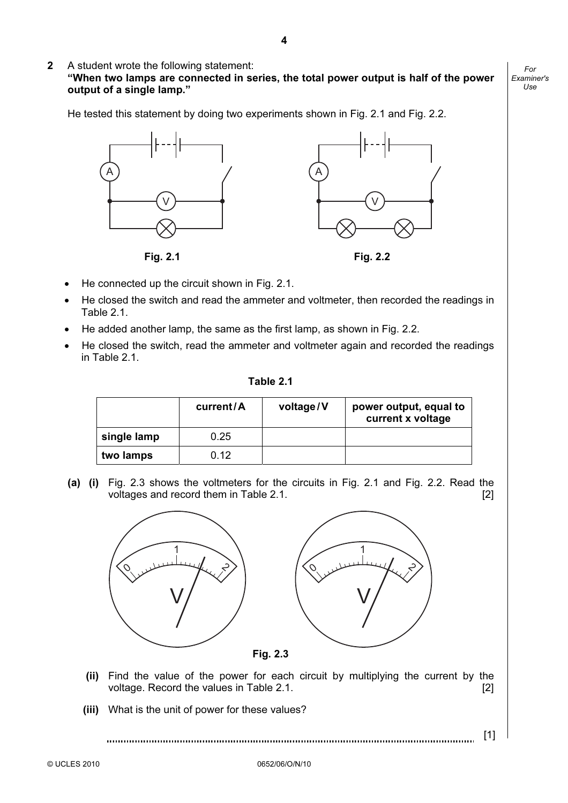2 A student wrote the following statement:

"When two lamps are connected in series, the total power output is half of the power output of a single lamp."

He tested this statement by doing two experiments shown in Fig. 2.1 and Fig. 2.2.





- He connected up the circuit shown in Fig. 2.1.
- He closed the switch and read the ammeter and voltmeter, then recorded the readings in Table 2.1.
- He added another lamp, the same as the first lamp, as shown in Fig. 2.2.
- He closed the switch, read the ammeter and voltmeter again and recorded the readings in Table 2.1.

| Table 2 |  |
|---------|--|
|---------|--|

|             | current/A | voltage/V | power output, equal to<br>current x voltage |
|-------------|-----------|-----------|---------------------------------------------|
| single lamp | 0.25      |           |                                             |
| two lamps   | 0.12      |           |                                             |

(a) (i) Fig. 2.3 shows the voltmeters for the circuits in Fig. 2.1 and Fig. 2.2. Read the voltages and record them in Table 2.1.



- (ii) Find the value of the power for each circuit by multiplying the current by the voltage. Record the values in Table 2.1. **[2]**  $\qquad \qquad$  [2]
- (iii) What is the unit of power for these values?

[1]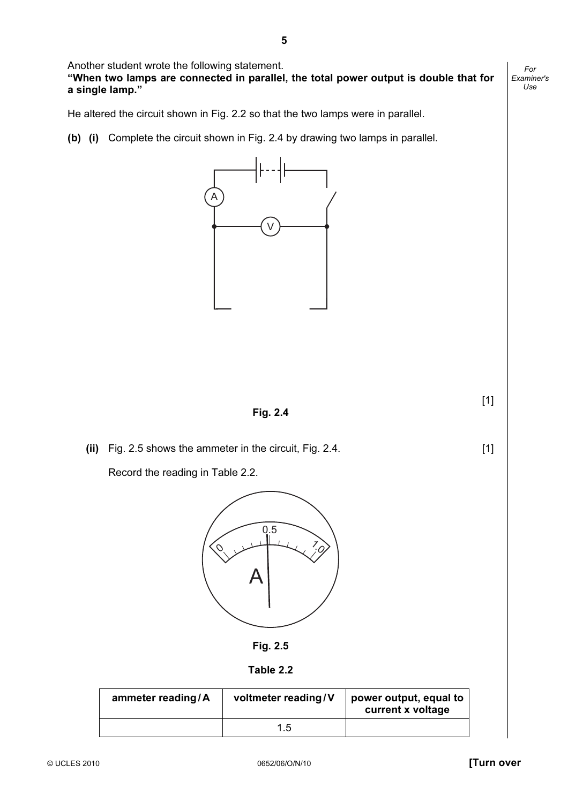Another student wrote the following statement.

"When two lamps are connected in parallel, the total power output is double that for a single lamp."

He altered the circuit shown in Fig. 2.2 so that the two lamps were in parallel.

(b) (i) Complete the circuit shown in Fig. 2.4 by drawing two lamps in parallel.



Fig. 2.4

 $[1]$ 

(ii) Fig. 2.5 shows the ammeter in the circuit, Fig. 2.4. [1]

Record the reading in Table 2.2.





Table 2.2

| ammeter reading/A | voltmeter reading/V | power output, equal to<br>current x voltage |
|-------------------|---------------------|---------------------------------------------|
|                   | 1.5                 |                                             |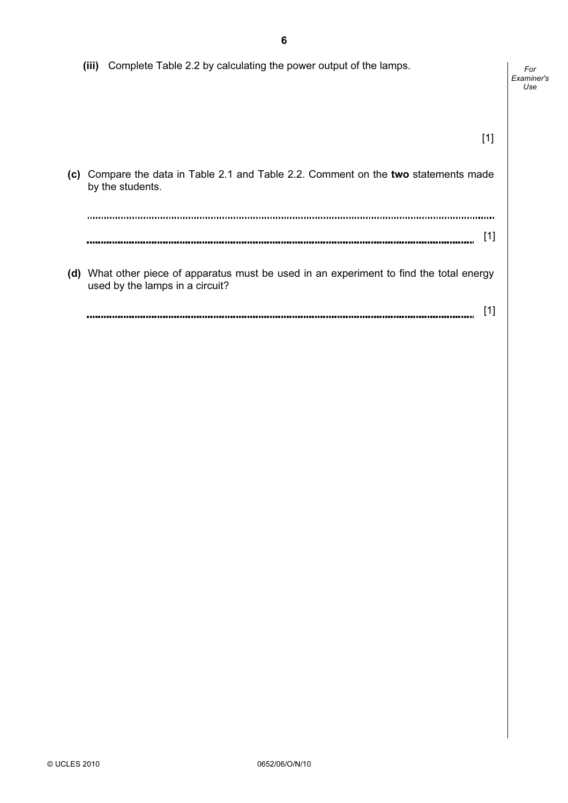(iii) Complete Table 2.2 by calculating the power output of the lamps. For Examiner's Use  $[1]$  (c) Compare the data in Table 2.1 and Table 2.2. Comment on the two statements made by the students. [1]  $\sim$  (d) What other piece of apparatus must be used in an experiment to find the total energy used by the lamps in a circuit? [1] 

© UCLES 2010 0652/06/O/N/10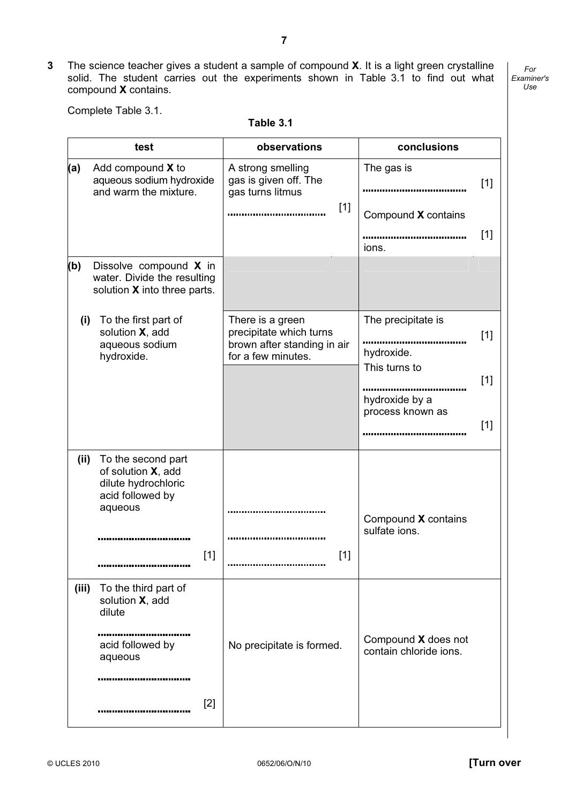3 The science teacher gives a student a sample of compound X. It is a light green crystalline solid. The student carries out the experiments shown in Table 3.1 to find out what compound X contains.

For Examiner's Use

Complete Table 3.1.

Table 3.1

|       | test                                                                                                    | observations                                                                                     | conclusions                                                |
|-------|---------------------------------------------------------------------------------------------------------|--------------------------------------------------------------------------------------------------|------------------------------------------------------------|
| (a)   | Add compound X to<br>aqueous sodium hydroxide<br>and warm the mixture.                                  | A strong smelling<br>gas is given off. The<br>gas turns litmus<br>$[1]$                          | The gas is<br>$[1]$<br>Compound X contains<br>$[1]$        |
| (b)   | Dissolve compound X in<br>water. Divide the resulting<br>solution X into three parts.                   |                                                                                                  | ions.                                                      |
| (i)   | To the first part of<br>solution X, add<br>aqueous sodium<br>hydroxide.                                 | There is a green<br>precipitate which turns<br>brown after standing in air<br>for a few minutes. | The precipitate is<br>$[1]$<br>hydroxide.<br>This turns to |
|       |                                                                                                         |                                                                                                  | $[1]$<br>hydroxide by a<br>process known as<br>$[1]$       |
| (ii)  | To the second part<br>of solution X, add<br>dilute hydrochloric<br>acid followed by<br>aqueous<br>$[1]$ | $[1]$                                                                                            | Compound X contains<br>sulfate ions.                       |
| (iii) | To the third part of<br>solution X, add<br>dilute<br>acid followed by<br>aqueous<br>$[2]$               | No precipitate is formed.                                                                        | Compound X does not<br>contain chloride ions.              |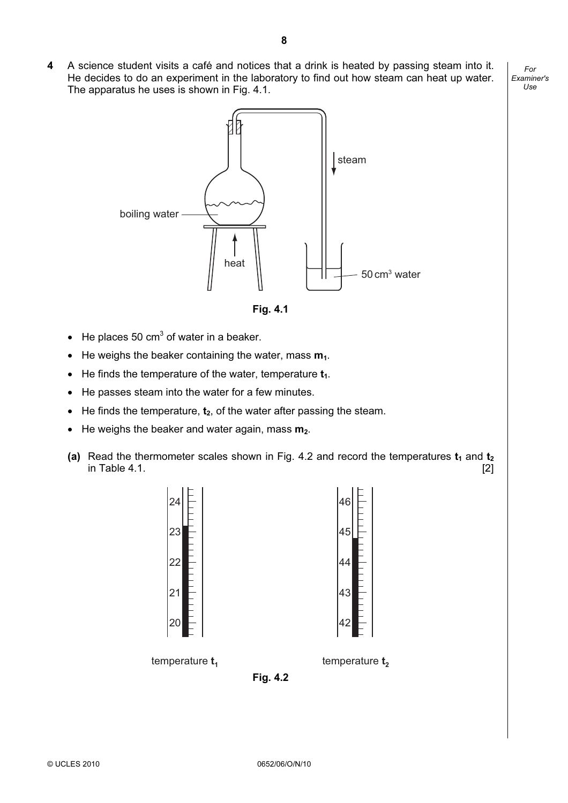4 A science student visits a café and notices that a drink is heated by passing steam into it. He decides to do an experiment in the laboratory to find out how steam can heat up water. The apparatus he uses is shown in Fig. 4.1.



Fig. 4.1

- He places 50 cm<sup>3</sup> of water in a beaker.
- He weighs the beaker containing the water, mass  $m_1$ .
- He finds the temperature of the water, temperature  $t_1$ .
- He passes steam into the water for a few minutes.
- He finds the temperature,  $t_2$ , of the water after passing the steam.
- He weighs the beaker and water again, mass  $m_2$ .
- (a) Read the thermometer scales shown in Fig. 4.2 and record the temperatures  $t_1$  and  $t_2$ in Table 4.1. [2]



Fig. 4.2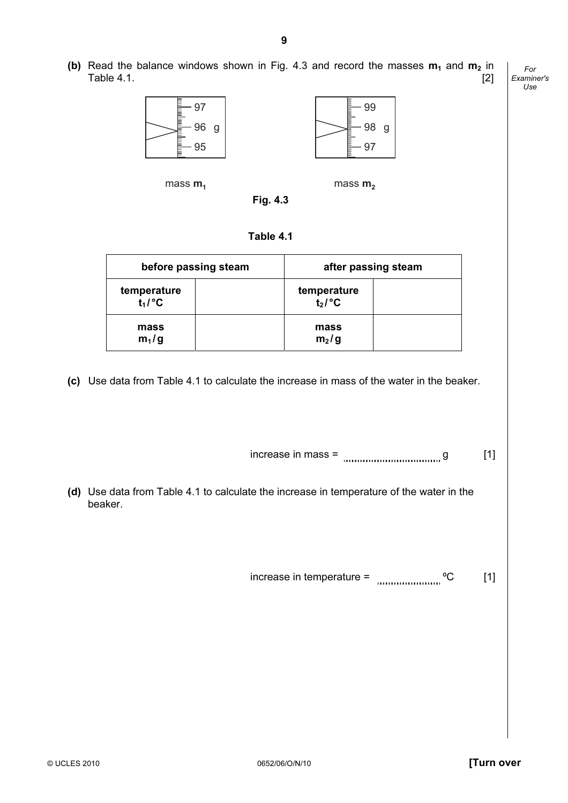(b) Read the balance windows shown in Fig. 4.3 and record the masses  $m_1$  and  $m_2$  in  $Table 4.1.$  [2]



 $mass \, m_1$  mass  $m_2$ 

| Π |  |
|---|--|
|   |  |

| Table 4.1 |  |
|-----------|--|
|-----------|--|

| before passing steam     |  | after passing steam       |  |  |
|--------------------------|--|---------------------------|--|--|
| temperature<br>$t_1$ /°C |  | temperature<br>$t_2$ /°C  |  |  |
| mass<br>$m_1/g$          |  | mass<br>m <sub>2</sub> /g |  |  |

(c) Use data from Table 4.1 to calculate the increase in mass of the water in the beaker.

 $increases in mass =$  [1]

 (d) Use data from Table 4.1 to calculate the increase in temperature of the water in the beaker.

increase in temperature =  $^{\circ}$   $^{\circ}$   $^{\circ}$   $^{\circ}$   $^{\circ}$   $^{\circ}$   $^{\circ}$   $^{\circ}$   $^{\circ}$   $^{\circ}$   $^{\circ}$   $^{\circ}$   $^{\circ}$   $^{\circ}$   $^{\circ}$   $^{\circ}$   $^{\circ}$   $^{\circ}$   $^{\circ}$   $^{\circ}$   $^{\circ}$   $^{\circ}$   $^{\circ}$   $^{\circ}$   $^{\circ}$   $^{\circ}$   $^{\circ}$   $^{\circ}$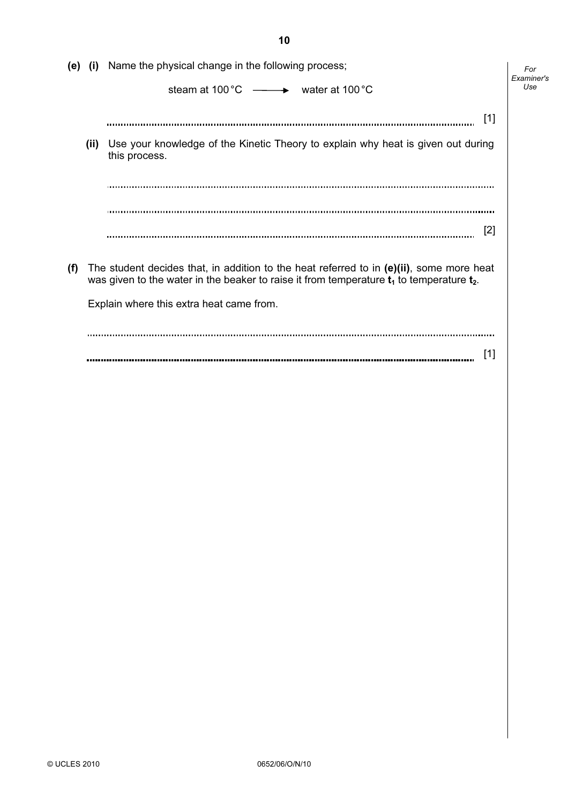|     |       | (e) (i) Name the physical change in the following process;                                                                                                                                    | For<br>Examiner's |
|-----|-------|-----------------------------------------------------------------------------------------------------------------------------------------------------------------------------------------------|-------------------|
|     |       | steam at 100 $^{\circ}$ C $\longrightarrow$ water at 100 $^{\circ}$ C                                                                                                                         | Use               |
|     |       | $[1]$<br>                                                                                                                                                                                     |                   |
|     | (iii) | Use your knowledge of the Kinetic Theory to explain why heat is given out during<br>this process.                                                                                             |                   |
|     |       |                                                                                                                                                                                               |                   |
|     |       |                                                                                                                                                                                               |                   |
|     |       | [2]                                                                                                                                                                                           |                   |
| (f) |       | The student decides that, in addition to the heat referred to in $(e)(ii)$ , some more heat<br>was given to the water in the beaker to raise it from temperature $t_1$ to temperature $t_2$ . |                   |
|     |       | Explain where this extra heat came from.                                                                                                                                                      |                   |
|     |       |                                                                                                                                                                                               |                   |
|     |       | [1]                                                                                                                                                                                           |                   |

10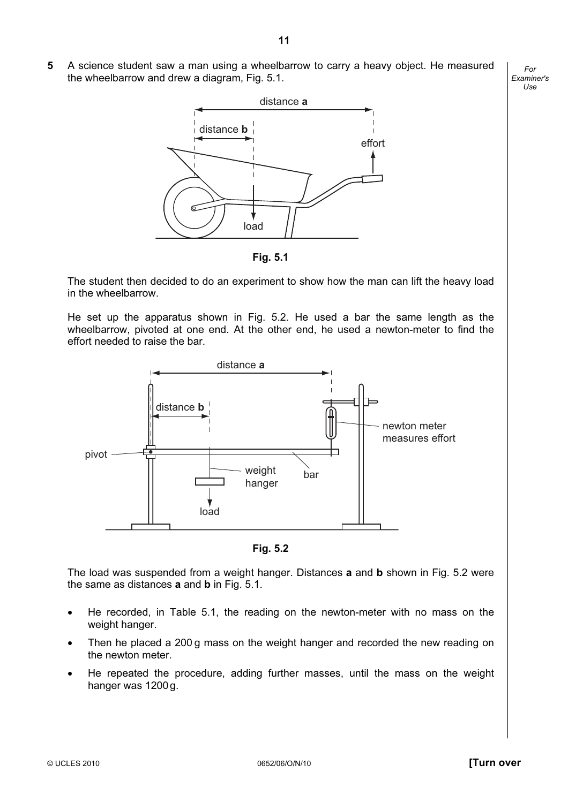5 A science student saw a man using a wheelbarrow to carry a heavy object. He measured the wheelbarrow and drew a diagram, Fig. 5.1.



Fig. 5.1

 The student then decided to do an experiment to show how the man can lift the heavy load in the wheelbarrow.

 He set up the apparatus shown in Fig. 5.2. He used a bar the same length as the wheelbarrow, pivoted at one end. At the other end, he used a newton-meter to find the effort needed to raise the bar.



Fig. 5.2

The load was suspended from a weight hanger. Distances a and b shown in Fig. 5.2 were the same as distances **a** and **b** in Fig. 5.1.

- He recorded, in Table 5.1, the reading on the newton-meter with no mass on the weight hanger.
- Then he placed a 200 g mass on the weight hanger and recorded the new reading on the newton meter.
- He repeated the procedure, adding further masses, until the mass on the weight hanger was 1200g.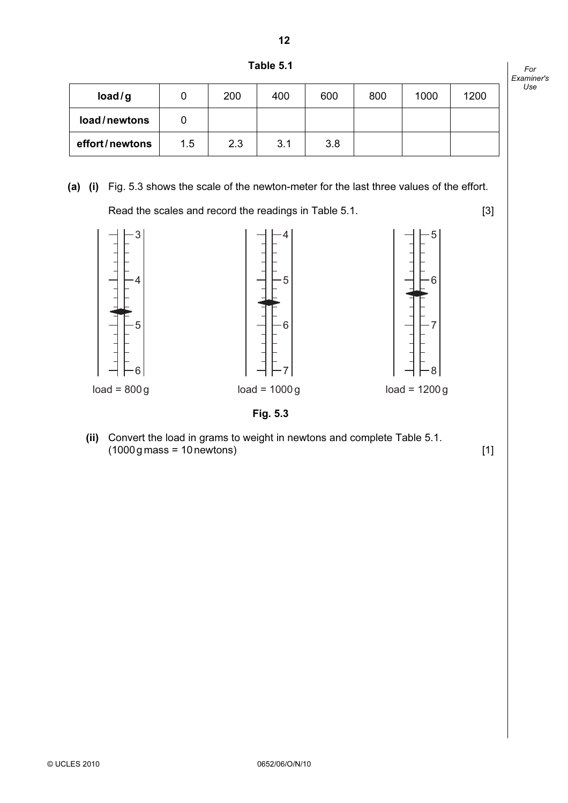

Table 5.1

| load/g         |     | 200 | 400 | 600 | 800 | 1000 | 1200 |
|----------------|-----|-----|-----|-----|-----|------|------|
| load/newtons   |     |     |     |     |     |      |      |
| effort/newtons | 1.5 | 2.3 | 3.1 | 3.8 |     |      |      |

# (a) (i) Fig. 5.3 shows the scale of the newton-meter for the last three values of the effort.

Read the scales and record the readings in Table 5.1. [3]



 (ii) Convert the load in grams to weight in newtons and complete Table 5.1.  $(1000 \text{ g mass} = 10 \text{ newtons})$  [1]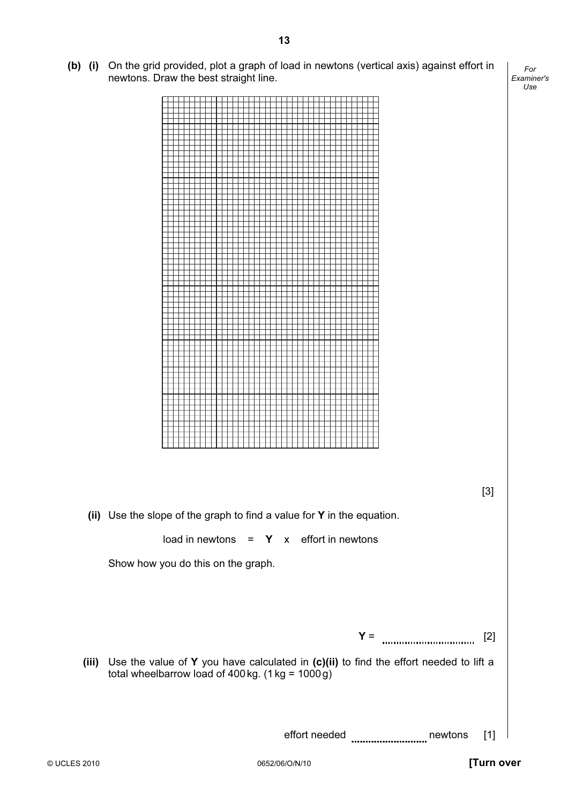(b) (i) On the grid provided, plot a graph of load in newtons (vertical axis) against effort in newtons. Draw the best straight line.

13

For Examiner's  $1$ se



 $Y =$  [2] (iii) Use the value of Y you have calculated in  $(c)(ii)$  to find the effort needed to lift a total wheelbarrow load of 400 kg.  $(1 \text{ kg} = 1000 \text{ g})$ 

effort needed newtons [1]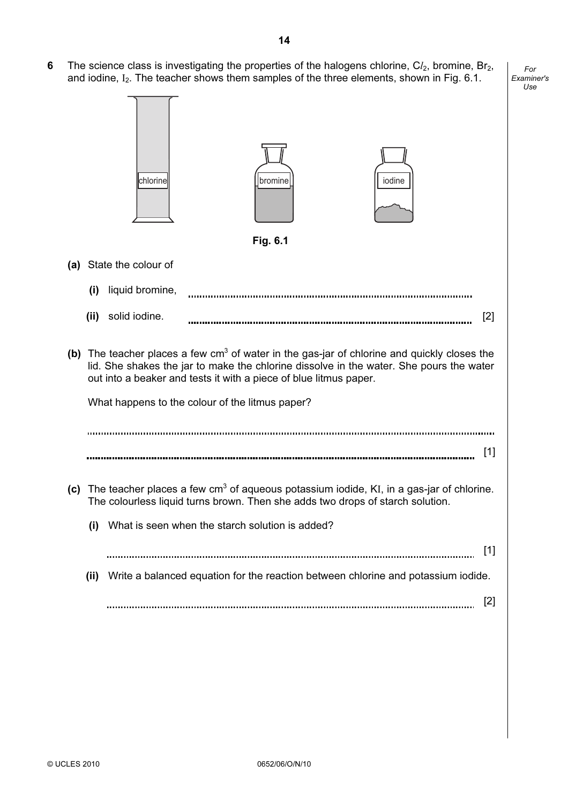6 The science class is investigating the properties of the halogens chlorine, Cl<sub>2</sub>, bromine, Br<sub>2</sub>, and iodine,  $I_2$ . The teacher shows them samples of the three elements, shown in Fig. 6.1.

|     |       | chlorine                                                          | bromine<br>Fig. 6.1 | iodine                                                                                                                                                                                   |       |
|-----|-------|-------------------------------------------------------------------|---------------------|------------------------------------------------------------------------------------------------------------------------------------------------------------------------------------------|-------|
|     |       |                                                                   |                     |                                                                                                                                                                                          |       |
| (a) |       | State the colour of                                               |                     |                                                                                                                                                                                          |       |
|     | (i)   | liquid bromine,                                                   |                     |                                                                                                                                                                                          |       |
|     | (ii)  | solid iodine.                                                     |                     |                                                                                                                                                                                          | [2]   |
|     |       | out into a beaker and tests it with a piece of blue litmus paper. |                     | (b) The teacher places a few $cm3$ of water in the gas-jar of chlorine and quickly closes the<br>lid. She shakes the jar to make the chlorine dissolve in the water. She pours the water |       |
|     |       | What happens to the colour of the litmus paper?                   |                     |                                                                                                                                                                                          |       |
|     |       |                                                                   |                     |                                                                                                                                                                                          |       |
|     |       |                                                                   |                     |                                                                                                                                                                                          | $[1]$ |
|     |       |                                                                   |                     | (c) The teacher places a few $cm3$ of aqueous potassium iodide, KI, in a gas-jar of chlorine.<br>The colourless liquid turns brown. Then she adds two drops of starch solution.          |       |
|     | (i)   | What is seen when the starch solution is added?                   |                     |                                                                                                                                                                                          |       |
|     |       |                                                                   |                     |                                                                                                                                                                                          | $[1]$ |
|     | (iii) |                                                                   |                     | Write a balanced equation for the reaction between chlorine and potassium iodide.                                                                                                        |       |
|     |       |                                                                   |                     |                                                                                                                                                                                          | $[2]$ |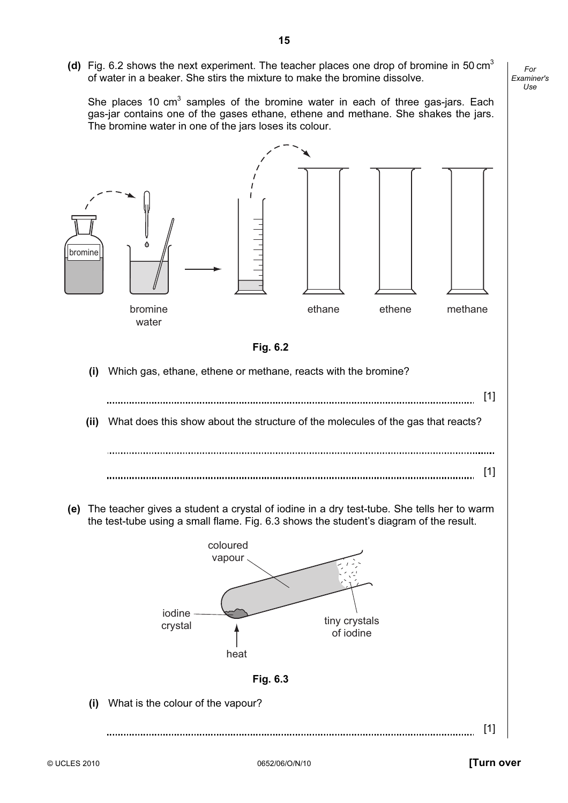(d) Fig. 6.2 shows the next experiment. The teacher places one drop of bromine in 50 cm<sup>3</sup> of water in a beaker. She stirs the mixture to make the bromine dissolve.

She places 10 cm<sup>3</sup> samples of the bromine water in each of three gas-jars. Each gas-jar contains one of the gases ethane, ethene and methane. She shakes the jars. The bromine water in one of the jars loses its colour.





(i) Which gas, ethane, ethene or methane, reacts with the bromine?

(ii) What does this show about the structure of the molecules of the gas that reacts?

[1] 

 (e) The teacher gives a student a crystal of iodine in a dry test-tube. She tells her to warm the test-tube using a small flame. Fig. 6.3 shows the student's diagram of the result.



(i) What is the colour of the vapour?

[1] 

15

[1]